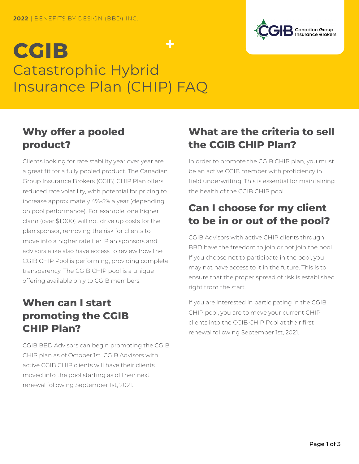# $\div$ **CGIB** Catastrophic Hybrid Insurance Plan (CHIP) FAQ

#### **Why offer a pooled product?**

Clients looking for rate stability year over year are a great fit for a fully pooled product. The Canadian Group Insurance Brokers (CGIB) CHIP Plan offers reduced rate volatility, with potential for pricing to increase approximately 4%-5% a year (depending on pool performance). For example, one higher claim (over \$1,000) will not drive up costs for the plan sponsor, removing the risk for clients to move into a higher rate tier. Plan sponsors and advisors alike also have access to review how the CGIB CHIP Pool is performing, providing complete transparency. The CGIB CHIP pool is a unique offering available only to CGIB members.

### **When can I start promoting the CGIB CHIP Plan?**

CGIB BBD Advisors can begin promoting the CGIB CHIP plan as of October 1st. CGIB Advisors with active CGIB CHIP clients will have their clients moved into the pool starting as of their next renewal following September 1st, 2021.

#### **What are the criteria to sell the CGIB CHIP Plan?**

In order to promote the CGIB CHIP plan, you must be an active CGIB member with proficiency in field underwriting. This is essential for maintaining the health of the CGIB CHIP pool.

#### **Can I choose for my client to be in or out of the pool?**

CGIB Advisors with active CHIP clients through BBD have the freedom to join or not join the pool. If you choose not to participate in the pool, you may not have access to it in the future. This is to ensure that the proper spread of risk is established right from the start.

If you are interested in participating in the CGIB CHIP pool, you are to move your current CHIP clients into the CGIB CHIP Pool at their first renewal following September 1st, 2021.

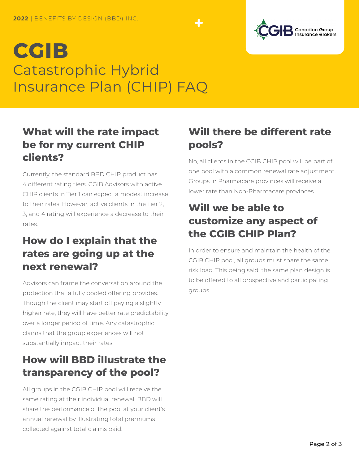# **CGIB** Catastrophic Hybrid Insurance Plan (CHIP) FAQ



Currently, the standard BBD CHIP product has 4 different rating tiers. CGIB Advisors with active CHIP clients in Tier 1 can expect a modest increase to their rates. However, active clients in the Tier 2, 3, and 4 rating will experience a decrease to their rates.

### **How do I explain that the rates are going up at the next renewal?**

Advisors can frame the conversation around the protection that a fully pooled offering provides. Though the client may start off paying a slightly higher rate, they will have better rate predictability over a longer period of time. Any catastrophic claims that the group experiences will not substantially impact their rates.

### **How will BBD illustrate the transparency of the pool?**

All groups in the CGIB CHIP pool will receive the same rating at their individual renewal. BBD will share the performance of the pool at your client's annual renewal by illustrating total premiums collected against total claims paid.

## **Will there be different rate pools?**

No, all clients in the CGIB CHIP pool will be part of one pool with a common renewal rate adjustment. Groups in Pharmacare provinces will receive a lower rate than Non-Pharmacare provinces.

### **Will we be able to customize any aspect of the CGIB CHIP Plan?**

In order to ensure and maintain the health of the CGIB CHIP pool, all groups must share the same risk load. This being said, the same plan design is to be offered to all prospective and participating groups.